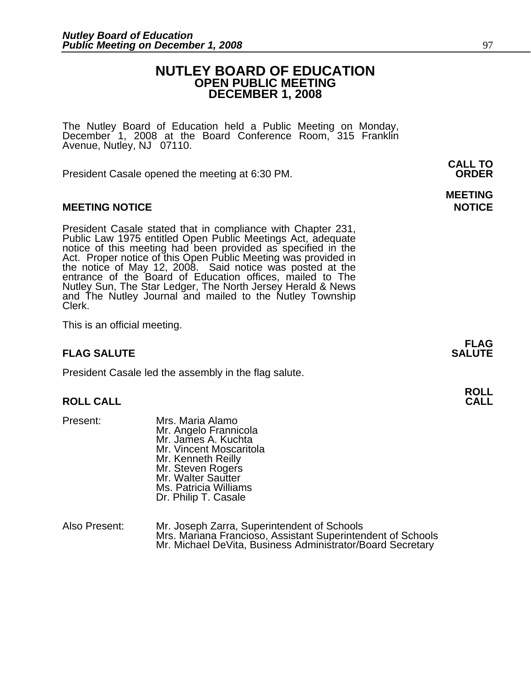### **NUTLEY BOARD OF EDUCATION OPEN PUBLIC MEETING DECEMBER 1, 2008**

**MEETING** 

The Nutley Board of Education held a Public Meeting on Monday, December 1, 2008 at the Board Conference Room, 315 Franklin Avenue, Nutley, NJ 07110.

 **CALL TO**  President Casale opened the meeting at 6:30 PM. **ORDER**

#### **MEETING NOTICE NOTICE REPORTS AND ALCOHOL**

President Casale stated that in compliance with Chapter 231,<br>Public Law 1975 entitled Open Public Meetings Act, adequate<br>notice of this meeting had been provided as specified in the<br>Act. Proper notice of this Open Public M the notice of May 12, 2008. Said notice was posted at the<br>entrance of the Board of Education offices, mailed to The Nutley Sun, The Star Ledger, The North Jersey Herald & News and The Nutley Journal and mailed to the Nutley Township Clerk.

This is an official meeting.

### **FLAG SALUTE** SALUTE SALUTE SALUTE SALUTE SALUTE

President Casale led the assembly in the flag salute.

## **ROLL ROLL CALL CALL**

- 
- Present: Mrs. Maria Alamo Mr. Angelo Frannicola Mr. James A. Kuchta Mr. Vincent Moscaritola Mr. Kenneth Reilly Mr. Steven Rogers Mr. Walter Sautter Ms. Patricia Williams Dr. Philip T. Casale
- Also Present: Mr. Joseph Zarra, Superintendent of Schools Mrs. Mariana Francioso, Assistant Superintendent of Schools Mr. Michael DeVita, Business Administrator/Board Secretary

**FLAG**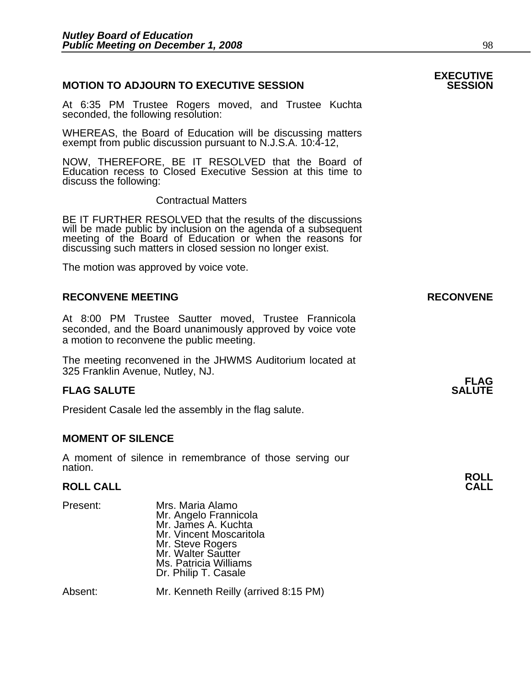#### **MOTION TO ADJOURN TO EXECUTIVE SESSION**

At 6:35 PM Trustee Rogers moved, and Trustee Kuchta seconded, the following resolution:

WHEREAS, the Board of Education will be discussing matters exempt from public discussion pursuant to N.J.S.A. 10:4-12,

NOW, THEREFORE, BE IT RESOLVED that the Board of Education recess to Closed Executive Session at this time to discuss the following:

Contractual Matters

BE IT FURTHER RESOLVED that the results of the discussions will be made public by inclusion on the agenda of a subsequent meeting of the Board of Education or when the reasons for discussing such matters in closed session no longer exist.

The motion was approved by voice vote.

#### **RECONVENE MEETING RECONVENE**

At 8:00 PM Trustee Sautter moved, Trustee Frannicola seconded, and the Board unanimously approved by voice vote a motion to reconvene the public meeting.

The meeting reconvened in the JHWMS Auditorium located at 325 Franklin Avenue, Nutley, NJ.

#### **FLAG SALUTE** SALUTE SALUTE SALUTE SALUTE SALUTE

President Casale led the assembly in the flag salute.

#### **MOMENT OF SILENCE**

A moment of silence in remembrance of those serving our nation.

## **ROLL ROLL CALL CALL**

| Present: | Mrs. Maria Alamo        |  |
|----------|-------------------------|--|
|          | Mr. Angelo Frannicola   |  |
|          | Mr. James A. Kuchta     |  |
|          | Mr. Vincent Moscaritola |  |
|          | Mr. Steve Rogers        |  |
|          | Mr. Walter Sautter      |  |
|          | Ms. Patricia Williams   |  |
|          | Dr. Philip T. Casale    |  |
|          |                         |  |
|          |                         |  |

Absent: Mr. Kenneth Reilly (arrived 8:15 PM)

# **EXECUTIVE**

# **FLAG**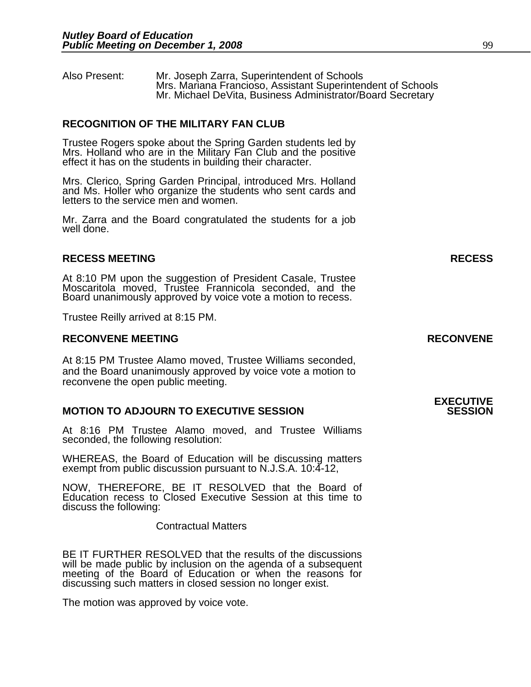Also Present: Mr. Joseph Zarra, Superintendent of Schools Mr. Michael DeVita, Business Administrator/Board Secretary

#### **RECOGNITION OF THE MILITARY FAN CLUB**

Trustee Rogers spoke about the Spring Garden students led by Mrs. Holland who are in the Military Fan Club and the positive effect it has on the students in building their character.

Mrs. Clerico, Spring Garden Principal, introduced Mrs. Holland and Ms. Holler who organize the students who sent cards and letters to the service men and women.

Mr. Zarra and the Board congratulated the students for a job well done.

#### **RECESS MEETING RECESS**

At 8:10 PM upon the suggestion of President Casale, Trustee Moscaritola moved, Trustee Frannicola seconded, and the Board unanimously approved by voice vote a motion to recess.

Trustee Reilly arrived at 8:15 PM.

#### **RECONVENE MEETING RECONVENE**

At 8:15 PM Trustee Alamo moved, Trustee Williams seconded, and the Board unanimously approved by voice vote a motion to reconvene the open public meeting.

#### **MOTION TO ADJOURN TO EXECUTIVE SESSION**

At 8:16 PM Trustee Alamo moved, and Trustee Williams seconded, the following resolution:

WHEREAS, the Board of Education will be discussing matters exempt from public discussion pursuant to N.J.S.A. 10:4-12,

NOW, THEREFORE, BE IT RESOLVED that the Board of Education recess to Closed Executive Session at this time to discuss the following:

Contractual Matters

BE IT FURTHER RESOLVED that the results of the discussions will be made public by inclusion on the agenda of a subsequent meeting of the Board of Education or when the reasons for discussing such matters in closed session no longer exist.

The motion was approved by voice vote.

### **EXECUTIVE**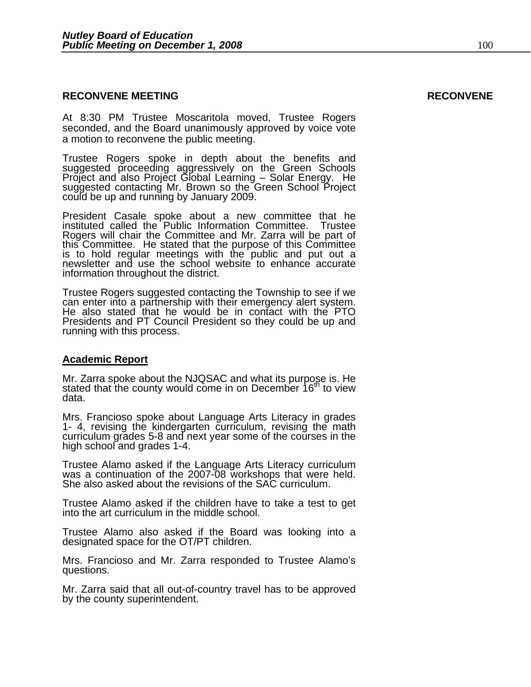#### **RECONVENE MEETING RECONVENE**

At 8:30 PM Trustee Moscaritola moved, Trustee Rogers seconded, and the Board unanimously approved by voice vote a motion to reconvene the public meeting.

Trustee Rogers spoke in depth about the benefits and suggested proceeding aggressively on the Green Schools Project and also Project Global Learning – Solar Energy. He suggested contacting Mr. Brown so the Green School Project could be up and running by January 2009.

President Casale spoke about a new committee that he instituted called the Public Information Committee. Trustee Rogers will chair the Committee and Mr. Zarra will be part of this Committee. He stated that the purpose of this Committee is to hold regular meetings with the public and put out a newsletter and use the school website to enhance accurate information throughout the district.

Trustee Rogers suggested contacting the Township to see if we can enter into a partnership with their emergency alert system. He also stated that he would be in contact with the PTO Presidents and PT Council President so they could be up and running with this process.

#### **Academic Report**

Mr. Zarra spoke about the NJQSAC and what its purpose is. He stated that the county would come in on December 16<sup>th</sup> to view data.

Mrs. Francioso spoke about Language Arts Literacy in grades<br>1- 4, revising the kindergarten curriculum, revising the math<br>curriculum grades 5-8 and next year some of the courses in the high school and grades 1-4.

Trustee Alamo asked if the Language Arts Literacy curriculum was a continuation of the 2007-08 workshops that were held. She also asked about the revisions of the SAC curriculum.

Trustee Alamo asked if the children have to take a test to get into the art curriculum in the middle school.

Trustee Alamo also asked if the Board was looking into a designated space for the OT/PT children.

Mrs. Francioso and Mr. Zarra responded to Trustee Alamo's questions.

Mr. Zarra said that all out-of-country travel has to be approved by the county superintendent.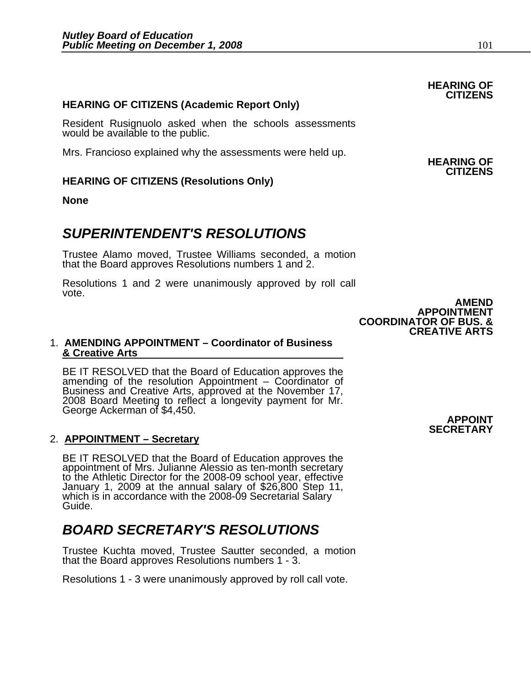#### **HEARING OF CITIZENS (Academic Report Only)**

Resident Rusignuolo asked when the schools assessments would be available to the public.

Mrs. Francioso explained why the assessments were held up. **HEARING OF** 

### **HEARING OF CITIZENS (Resolutions Only)**

**None** 

### *SUPERINTENDENT'S RESOLUTIONS*

Trustee Alamo moved, Trustee Williams seconded, a motion that the Board approves Resolutions numbers 1 and 2.

Resolutions 1 and 2 were unanimously approved by roll call vote.

#### 1. **AMENDING APPOINTMENT – Coordinator of Business & Creative Arts**

BE IT RESOLVED that the Board of Education approves the amending of the resolution Appointment – Coordinator of Business and Creative Arts, approved at the November 17, 2008 Board Meeting to reflect a longevity payment for Mr. George Ackerman of \$4,450. **APPOINT** 

#### 2. **APPOINTMENT – Secretary**

BE IT RESOLVED that the Board of Education approves the<br>appointment of Mrs. Julianne Alessio as ten-month secretary<br>to the Athletic Director for the 2008-09 school year, effective<br>January 1, 2009 at the annual salary of \$2

### *BOARD SECRETARY'S RESOLUTIONS*

Trustee Kuchta moved, Trustee Sautter seconded, a motion that the Board approves Resolutions numbers 1 - 3.

Resolutions 1 - 3 were unanimously approved by roll call vote.

**SECRETARY**

**CITIZENS** 

**AMEND APPOINTMENT COORDINATOR OF BUS. & CREATIVE ARTS** 

### **HEARING OF CITIZENS**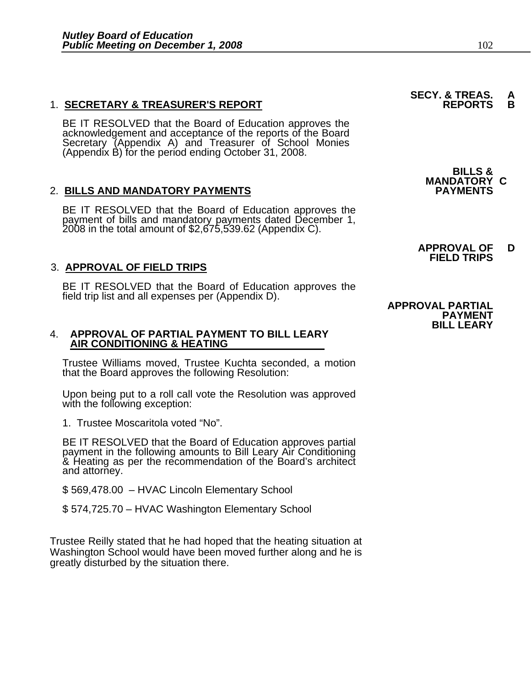#### 1. **SECRETARY & TREASURER'S REPORT**

BE IT RESOLVED that the Board of Education approves the<br>acknowledgement and acceptance of the reports of the Board<br>Secretary (Appendix A) and Treasurer of School Monies (Appendix B) for the period ending October 31, 2008.

#### 2. BILLS AND MANDATORY PAYMENTS

BE IT RESOLVED that the Board of Education approves the payment of bills and mandatory payments dated December 1, 2008 in the total amount of \$2,675,539.62 (Appendix C).

### 3. **APPROVAL OF FIELD TRIPS**

BE IT RESOLVED that the Board of Education approves the field trip list and all expenses per (Appendix D).

# 4. **APPROVAL OF PARTIAL PAYMENT TO BILL LEARY AIR CONDITIONING & HEATING**

Trustee Williams moved, Trustee Kuchta seconded, a motion that the Board approves the following Resolution:

Upon being put to a roll call vote the Resolution was approved with the following exception:

1. Trustee Moscaritola voted "No".

BE IT RESOLVED that the Board of Education approves partial payment in the following amounts to Bill Leary Air Conditioning & Heating as per the recommendation of the Board's architect and attorney.

\$ 569,478.00 – HVAC Lincoln Elementary School

\$ 574,725.70 – HVAC Washington Elementary School

Trustee Reilly stated that he had hoped that the heating situation at Washington School would have been moved further along and he is greatly disturbed by the situation there.

**SECY. & TREAS.<br>REPORTS** 

**BILLS & MANDATORY C**

**APPROVAL OF D FIELD TRIPS**

 **APPROVAL PARTIAL PAYMENT BILL LEARY**